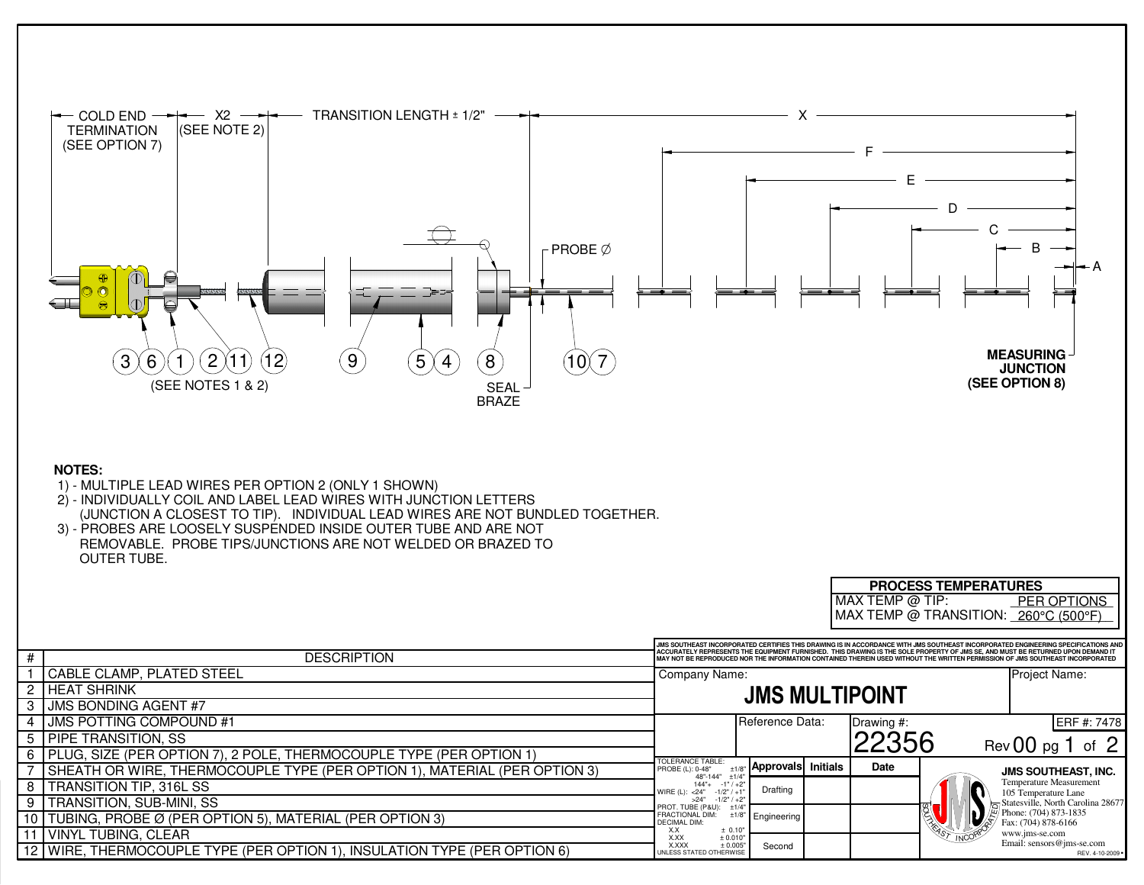

## **NOTES:**

- 1) MULTIPLE LEAD WIRES PER OPTION 2 (ONLY 1 SHOWN)
- 2) INDIVIDUALLY COIL AND LABEL LEAD WIRES WITH JUNCTION LETTERS(JUNCTION A CLOSEST TO TIP). INDIVIDUAL LEAD WIRES ARE NOT BUNDLED TOGETHER.
- 3) PROBES ARE LOOSELY SUSPENDED INSIDE OUTER TUBE AND ARE NOT REMOVABLE. PROBE TIPS/JUNCTIONS ARE NOT WELDED OR BRAZED TOOUTER TUBE.

|   |                                                                           |                                                                                                                                                                                                                                                                                                                                                                                                         |                           |  | MAX TEMP @ TIP:- |  | <b>PER OPTIONS</b>                              |  |
|---|---------------------------------------------------------------------------|---------------------------------------------------------------------------------------------------------------------------------------------------------------------------------------------------------------------------------------------------------------------------------------------------------------------------------------------------------------------------------------------------------|---------------------------|--|------------------|--|-------------------------------------------------|--|
|   |                                                                           |                                                                                                                                                                                                                                                                                                                                                                                                         |                           |  |                  |  | MAX TEMP @ TRANSITION: 260°C (500°F)            |  |
|   |                                                                           |                                                                                                                                                                                                                                                                                                                                                                                                         |                           |  |                  |  |                                                 |  |
| # | <b>DESCRIPTION</b>                                                        | JIMS SOUTHEAST INCORPORATED CERTIFIES THIS DRAWING IS IN ACCORDANCE WITH JIMS SOUTHEAST INCORPORATED ENGINEERING SPECIFICATIONS AND<br>ACCURATELY REPRESENTS THE EQUIPMENT FURNISHED. THIS DRAWING IS THE SOLE PROPERTY OF JMS SE. AND MUST BE RETURNED UPON DEMAND IT<br>MAY NOT BE REPRODUCED NOR THE INFORMATION CONTAINED THEREIN USED WITHOUT THE WRITTEN PERMISSION OF JMS SOUTHEAST INCORPORATED |                           |  |                  |  |                                                 |  |
|   | CABLE CLAMP, PLATED STEEL                                                 | Company Name:                                                                                                                                                                                                                                                                                                                                                                                           |                           |  |                  |  | Project Name:                                   |  |
|   | 2 HEAT SHRINK                                                             |                                                                                                                                                                                                                                                                                                                                                                                                         | <b>JMS MULTIPOINT</b>     |  |                  |  |                                                 |  |
|   | 3 JUMS BONDING AGENT #7                                                   |                                                                                                                                                                                                                                                                                                                                                                                                         |                           |  |                  |  |                                                 |  |
|   | <b>I JMS POTTING COMPOUND #1</b>                                          |                                                                                                                                                                                                                                                                                                                                                                                                         | Reference Data:           |  | Drawing #:       |  | ERF #: 7478                                     |  |
|   | 5   PIPE TRANSITION, SS                                                   |                                                                                                                                                                                                                                                                                                                                                                                                         |                           |  | 22356            |  | Rev $00$ pg 1 of $2$                            |  |
|   | 6 PLUG, SIZE (PER OPTION 7), 2 POLE, THERMOCOUPLE TYPE (PER OPTION 1)     | TOLERANCE TABLE:                                                                                                                                                                                                                                                                                                                                                                                        |                           |  |                  |  |                                                 |  |
|   | SHEATH OR WIRE, THERMOCOUPLE TYPE (PER OPTION 1), MATERIAL (PER OPTION 3) | PROBE (L): 0-48"<br>48"-144"<br>±1/4                                                                                                                                                                                                                                                                                                                                                                    | <b>Approvals Initials</b> |  | Date             |  | <b>JMS SOUTHEAST, INC.</b>                      |  |
| 8 | <b>TRANSITION TIP, 316L SS</b>                                            | $-1"$ / $+2$<br>$144"+$<br>WIRE (L): < 24"<br>$-1/2"$ / $+1$                                                                                                                                                                                                                                                                                                                                            | Drafting                  |  |                  |  | Temperature Measurement<br>105 Temperature Lane |  |
| 9 | <b>ITRANSITION, SUB-MINI, SS</b>                                          | >24"<br>$-1/2"$ / $+2"$<br>PROT. TUBE (P&U):<br>±1/4                                                                                                                                                                                                                                                                                                                                                    |                           |  |                  |  | Statesville, North Carolina 28677               |  |
|   | 10   TUBING, PROBE Ø (PER OPTION 5), MATERIAL (PER OPTION 3)              | FRACTIONAL DIM:<br><b>DECIMAL DIM:</b>                                                                                                                                                                                                                                                                                                                                                                  | Engineering               |  |                  |  | Phone: (704) 873-1835<br>Fax: (704) 878-6166    |  |
|   | 11 VINYL TUBING, CLEAR                                                    | ± 0.10"<br>X.X<br>X.XX<br>± 0.010                                                                                                                                                                                                                                                                                                                                                                       |                           |  |                  |  | www.jms-se.com<br>Email: sensors@jms-se.com     |  |
|   | 12 WIRE, THERMOCOUPLE TYPE (PER OPTION 1), INSULATION TYPE (PER OPTION 6) | X.XXX<br>± 0.005"<br>UNLESS STATED OTHERWISE                                                                                                                                                                                                                                                                                                                                                            | Second                    |  |                  |  | REV. 4-10-2009 .                                |  |

**PROCESS TEMPERATURES**<br>MAX TEMP @ TIP: PER

PER OPTIONS